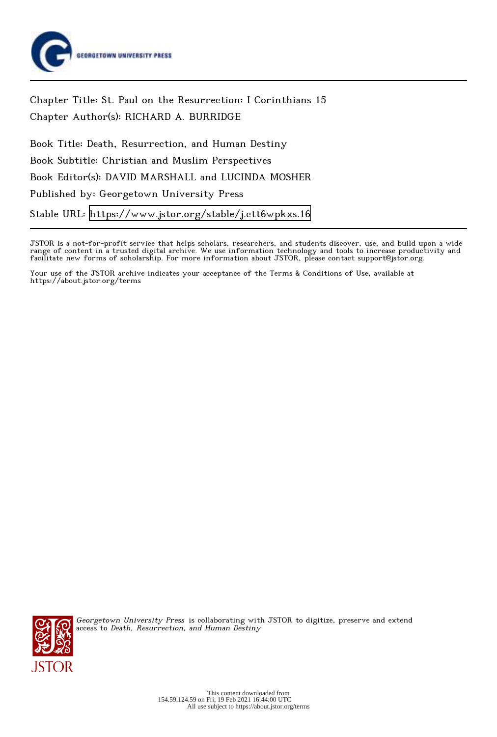

Chapter Title: St. Paul on the Resurrection: I Corinthians 15 Chapter Author(s): RICHARD A. BURRIDGE

Book Title: Death, Resurrection, and Human Destiny Book Subtitle: Christian and Muslim Perspectives Book Editor(s): DAVID MARSHALL and LUCINDA MOSHER Published by: Georgetown University Press Stable URL:<https://www.jstor.org/stable/j.ctt6wpkxs.16>

JSTOR is a not-for-profit service that helps scholars, researchers, and students discover, use, and build upon a wide range of content in a trusted digital archive. We use information technology and tools to increase productivity and facilitate new forms of scholarship. For more information about JSTOR, please contact support@jstor.org.

Your use of the JSTOR archive indicates your acceptance of the Terms & Conditions of Use, available at https://about.jstor.org/terms



Georgetown University Press is collaborating with JSTOR to digitize, preserve and extend access to Death, Resurrection, and Human Destiny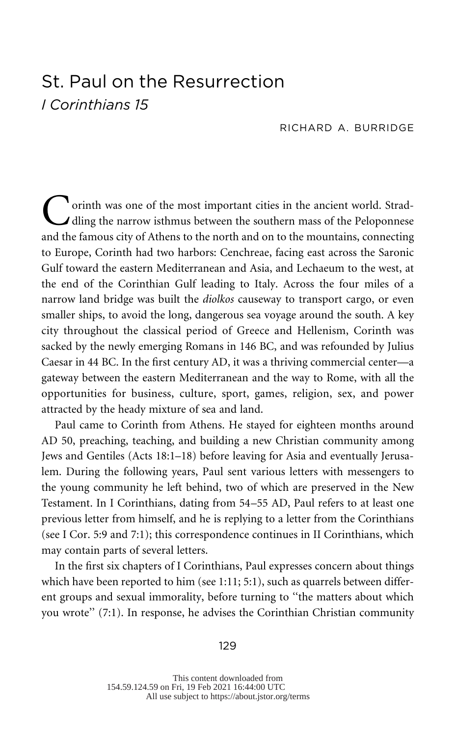# St. Paul on the Resurrection *I Corinthians 15*

### RICHARD A. BURRIDGE

orinth was one of the most important cities in the ancient world. Strad-I dling the narrow isthmus between the southern mass of the Peloponnese and the famous city of Athens to the north and on to the mountains, connecting to Europe, Corinth had two harbors: Cenchreae, facing east across the Saronic Gulf toward the eastern Mediterranean and Asia, and Lechaeum to the west, at the end of the Corinthian Gulf leading to Italy. Across the four miles of a narrow land bridge was built the *diolkos* causeway to transport cargo, or even smaller ships, to avoid the long, dangerous sea voyage around the south. A key city throughout the classical period of Greece and Hellenism, Corinth was sacked by the newly emerging Romans in 146 BC, and was refounded by Julius Caesar in 44 BC. In the first century AD, it was a thriving commercial center—a gateway between the eastern Mediterranean and the way to Rome, with all the opportunities for business, culture, sport, games, religion, sex, and power attracted by the heady mixture of sea and land.

Paul came to Corinth from Athens. He stayed for eighteen months around AD 50, preaching, teaching, and building a new Christian community among Jews and Gentiles (Acts 18:1–18) before leaving for Asia and eventually Jerusalem. During the following years, Paul sent various letters with messengers to the young community he left behind, two of which are preserved in the New Testament. In I Corinthians, dating from 54–55 AD, Paul refers to at least one previous letter from himself, and he is replying to a letter from the Corinthians (see I Cor. 5:9 and 7:1); this correspondence continues in II Corinthians, which may contain parts of several letters.

In the first six chapters of I Corinthians, Paul expresses concern about things which have been reported to him (see 1:11; 5:1), such as quarrels between different groups and sexual immorality, before turning to ''the matters about which you wrote'' (7:1). In response, he advises the Corinthian Christian community

#### 129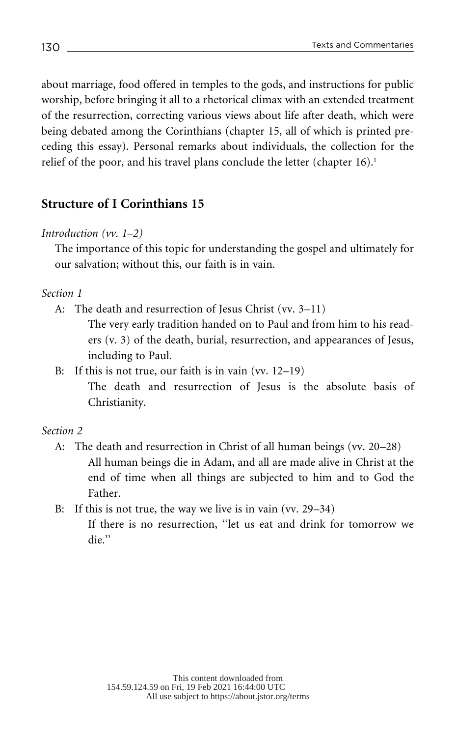about marriage, food offered in temples to the gods, and instructions for public worship, before bringing it all to a rhetorical climax with an extended treatment of the resurrection, correcting various views about life after death, which were being debated among the Corinthians (chapter 15, all of which is printed preceding this essay). Personal remarks about individuals, the collection for the relief of the poor, and his travel plans conclude the letter (chapter 16).<sup>1</sup>

# **Structure of I Corinthians 15**

*Introduction (vv. 1–2)*

The importance of this topic for understanding the gospel and ultimately for our salvation; without this, our faith is in vain.

## *Section 1*

A: The death and resurrection of Jesus Christ (vv. 3–11)

The very early tradition handed on to Paul and from him to his readers (v. 3) of the death, burial, resurrection, and appearances of Jesus, including to Paul.

B: If this is not true, our faith is in vain (vv. 12–19) The death and resurrection of Jesus is the absolute basis of Christianity.

# *Section 2*

A: The death and resurrection in Christ of all human beings (vv. 20–28) All human beings die in Adam, and all are made alive in Christ at the end of time when all things are subjected to him and to God the Father.

# B: If this is not true, the way we live is in vain (vv. 29–34) If there is no resurrection, ''let us eat and drink for tomorrow we die.''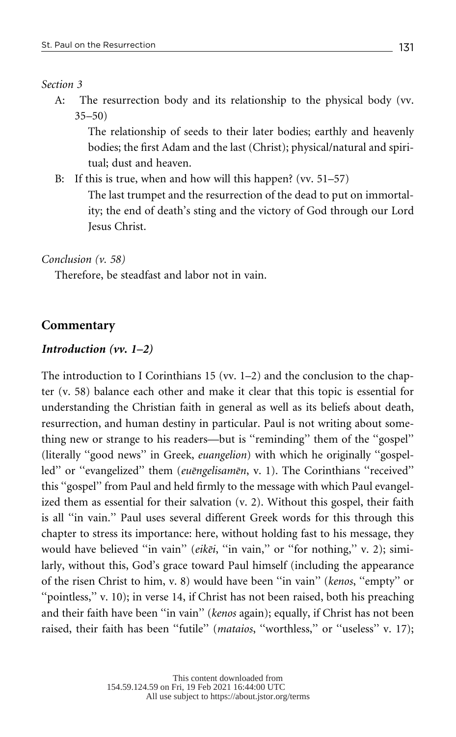#### *Section 3*

A: The resurrection body and its relationship to the physical body (vv. 35–50)

The relationship of seeds to their later bodies; earthly and heavenly bodies; the first Adam and the last (Christ); physical/natural and spiritual; dust and heaven.

B: If this is true, when and how will this happen? (vv. 51–57) The last trumpet and the resurrection of the dead to put on immortality; the end of death's sting and the victory of God through our Lord Jesus Christ.

#### *Conclusion (v. 58)*

Therefore, be steadfast and labor not in vain.

### **Commentary**

#### *Introduction (vv. 1–2)*

The introduction to I Corinthians 15 (vv.  $1-2$ ) and the conclusion to the chapter (v. 58) balance each other and make it clear that this topic is essential for understanding the Christian faith in general as well as its beliefs about death, resurrection, and human destiny in particular. Paul is not writing about something new or strange to his readers—but is ''reminding'' them of the ''gospel'' (literally ''good news'' in Greek, *euangelion*) with which he originally ''gospelled" or "evangelized" them (*euēngelisamēn*, v. 1). The Corinthians "received" this ''gospel'' from Paul and held firmly to the message with which Paul evangelized them as essential for their salvation (v. 2). Without this gospel, their faith is all ''in vain.'' Paul uses several different Greek words for this through this chapter to stress its importance: here, without holding fast to his message, they would have believed "in vain" (*eikēi*, "in vain," or "for nothing," v. 2); similarly, without this, God's grace toward Paul himself (including the appearance of the risen Christ to him, v. 8) would have been ''in vain'' (*kenos*, ''empty'' or "pointless," v. 10); in verse 14, if Christ has not been raised, both his preaching and their faith have been ''in vain'' (*kenos* again); equally, if Christ has not been raised, their faith has been "futile" (*mataios*, "worthless," or "useless" v. 17);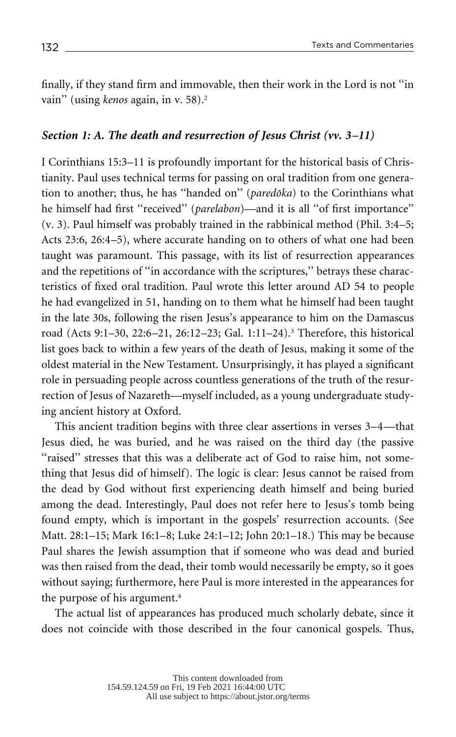finally, if they stand firm and immovable, then their work in the Lord is not ''in vain'' (using *kenos* again, in v. 58)[.2](#page-12-0)

#### *Section 1: A. The death and resurrection of Jesus Christ (vv. 3–11)*

I Corinthians 15:3–11 is profoundly important for the historical basis of Christianity. Paul uses technical terms for passing on oral tradition from one generation to another; thus, he has "handed on" (*paredōka*) to the Corinthians what he himself had first ''received'' (*parelabon*)—and it is all ''of first importance'' (v. 3). Paul himself was probably trained in the rabbinical method (Phil. 3:4–5; Acts 23:6, 26:4–5), where accurate handing on to others of what one had been taught was paramount. This passage, with its list of resurrection appearances and the repetitions of ''in accordance with the scriptures,'' betrays these characteristics of fixed oral tradition. Paul wrote this letter around AD 54 to people he had evangelized in 51, handing on to them what he himself had been taught in the late 30s, following the risen Jesus's appearance to him on the Damascus road (Acts 9:1–30, 22:6–21, 26:12–23; Gal. 1:11–24)[.3](#page-12-0) Therefore, this historical list goes back to within a few years of the death of Jesus, making it some of the oldest material in the New Testament. Unsurprisingly, it has played a significant role in persuading people across countless generations of the truth of the resurrection of Jesus of Nazareth—myself included, as a young undergraduate studying ancient history at Oxford.

This ancient tradition begins with three clear assertions in verses 3–4—that Jesus died, he was buried, and he was raised on the third day (the passive "raised" stresses that this was a deliberate act of God to raise him, not something that Jesus did of himself). The logic is clear: Jesus cannot be raised from the dead by God without first experiencing death himself and being buried among the dead. Interestingly, Paul does not refer here to Jesus's tomb being found empty, which is important in the gospels' resurrection accounts. (See Matt. 28:1–15; Mark 16:1–8; Luke 24:1–12; John 20:1–18.) This may be because Paul shares the Jewish assumption that if someone who was dead and buried was then raised from the dead, their tomb would necessarily be empty, so it goes without saying; furthermore, here Paul is more interested in the appearances for the purpose of his argument[.4](#page-12-0)

The actual list of appearances has produced much scholarly debate, since it does not coincide with those described in the four canonical gospels. Thus,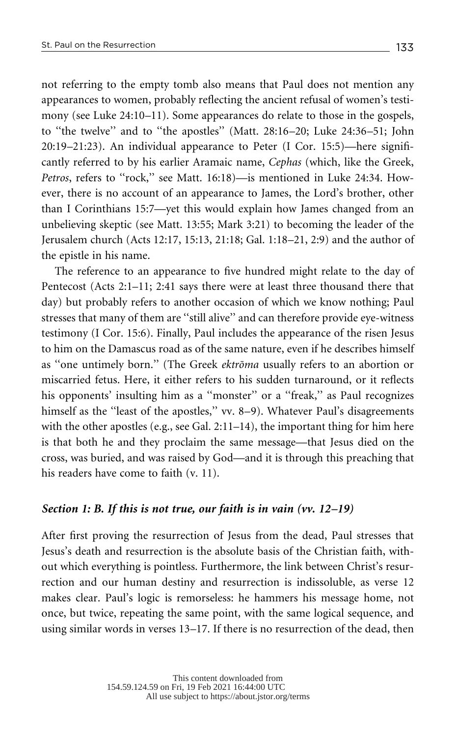not referring to the empty tomb also means that Paul does not mention any appearances to women, probably reflecting the ancient refusal of women's testimony (see Luke 24:10–11). Some appearances do relate to those in the gospels, to ''the twelve'' and to ''the apostles'' (Matt. 28:16–20; Luke 24:36–51; John 20:19–21:23). An individual appearance to Peter (I Cor. 15:5)—here significantly referred to by his earlier Aramaic name, *Cephas* (which, like the Greek, *Petros*, refers to "rock," see Matt. 16:18)—is mentioned in Luke 24:34. However, there is no account of an appearance to James, the Lord's brother, other than I Corinthians 15:7—yet this would explain how James changed from an unbelieving skeptic (see Matt. 13:55; Mark 3:21) to becoming the leader of the Jerusalem church (Acts 12:17, 15:13, 21:18; Gal. 1:18–21, 2:9) and the author of the epistle in his name.

The reference to an appearance to five hundred might relate to the day of Pentecost (Acts 2:1–11; 2:41 says there were at least three thousand there that day) but probably refers to another occasion of which we know nothing; Paul stresses that many of them are ''still alive'' and can therefore provide eye-witness testimony (I Cor. 15:6). Finally, Paul includes the appearance of the risen Jesus to him on the Damascus road as of the same nature, even if he describes himself as "one untimely born." (The Greek *ektrōma* usually refers to an abortion or miscarried fetus. Here, it either refers to his sudden turnaround, or it reflects his opponents' insulting him as a "monster" or a "freak," as Paul recognizes himself as the "least of the apostles," vv. 8–9). Whatever Paul's disagreements with the other apostles (e.g., see Gal.  $2:11-14$ ), the important thing for him here is that both he and they proclaim the same message—that Jesus died on the cross, was buried, and was raised by God—and it is through this preaching that his readers have come to faith (v. 11).

#### *Section 1: B. If this is not true, our faith is in vain (vv. 12–19)*

After first proving the resurrection of Jesus from the dead, Paul stresses that Jesus's death and resurrection is the absolute basis of the Christian faith, without which everything is pointless. Furthermore, the link between Christ's resurrection and our human destiny and resurrection is indissoluble, as verse 12 makes clear. Paul's logic is remorseless: he hammers his message home, not once, but twice, repeating the same point, with the same logical sequence, and using similar words in verses 13–17. If there is no resurrection of the dead, then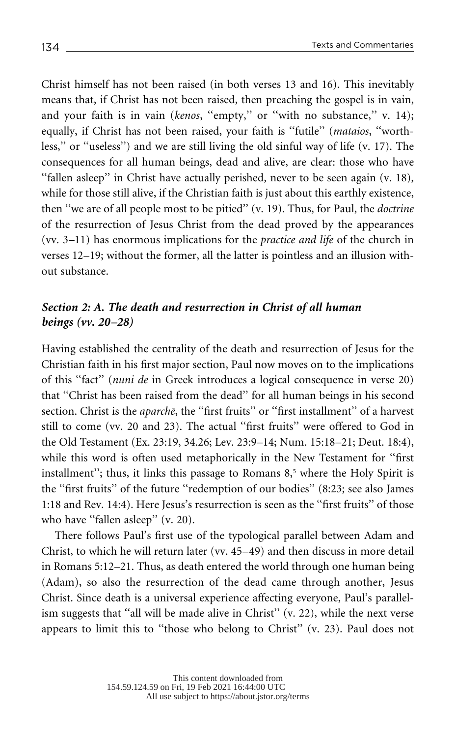Christ himself has not been raised (in both verses 13 and 16). This inevitably means that, if Christ has not been raised, then preaching the gospel is in vain, and your faith is in vain (*kenos*, "empty," or "with no substance," v. 14); equally, if Christ has not been raised, your faith is ''futile'' (*mataios*, ''worthless,'' or ''useless'') and we are still living the old sinful way of life (v. 17). The consequences for all human beings, dead and alive, are clear: those who have ''fallen asleep'' in Christ have actually perished, never to be seen again (v. 18), while for those still alive, if the Christian faith is just about this earthly existence, then ''we are of all people most to be pitied'' (v. 19). Thus, for Paul, the *doctrine* of the resurrection of Jesus Christ from the dead proved by the appearances (vv. 3–11) has enormous implications for the *practice and life* of the church in verses 12–19; without the former, all the latter is pointless and an illusion without substance.

# *Section 2: A. The death and resurrection in Christ of all human beings (vv. 20–28)*

Having established the centrality of the death and resurrection of Jesus for the Christian faith in his first major section, Paul now moves on to the implications of this ''fact'' (*nuni de* in Greek introduces a logical consequence in verse 20) that ''Christ has been raised from the dead'' for all human beings in his second section. Christ is the *aparche*, the "first fruits" or "first installment" of a harvest still to come (vv. 20 and 23). The actual ''first fruits'' were offered to God in the Old Testament (Ex. 23:19, 34.26; Lev. 23:9–14; Num. 15:18–21; Deut. 18:4), while this word is often used metaphorically in the New Testament for "first installment"; thus, it links this passage to Romans  $8<sub>5</sub>$  where the Holy Spirit is the ''first fruits'' of the future ''redemption of our bodies'' (8:23; see also James 1:18 and Rev. 14:4). Here Jesus's resurrection is seen as the ''first fruits'' of those who have "fallen asleep" (v. 20).

There follows Paul's first use of the typological parallel between Adam and Christ, to which he will return later (vv. 45–49) and then discuss in more detail in Romans 5:12–21. Thus, as death entered the world through one human being (Adam), so also the resurrection of the dead came through another, Jesus Christ. Since death is a universal experience affecting everyone, Paul's parallelism suggests that ''all will be made alive in Christ'' (v. 22), while the next verse appears to limit this to ''those who belong to Christ'' (v. 23). Paul does not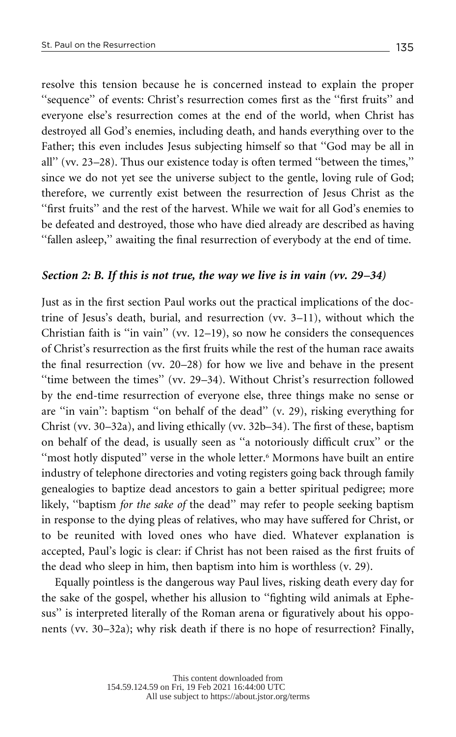resolve this tension because he is concerned instead to explain the proper "sequence" of events: Christ's resurrection comes first as the "first fruits" and everyone else's resurrection comes at the end of the world, when Christ has destroyed all God's enemies, including death, and hands everything over to the Father; this even includes Jesus subjecting himself so that ''God may be all in all'' (vv. 23–28). Thus our existence today is often termed ''between the times,'' since we do not yet see the universe subject to the gentle, loving rule of God; therefore, we currently exist between the resurrection of Jesus Christ as the ''first fruits'' and the rest of the harvest. While we wait for all God's enemies to be defeated and destroyed, those who have died already are described as having ''fallen asleep,'' awaiting the final resurrection of everybody at the end of time.

#### *Section 2: B. If this is not true, the way we live is in vain (vv. 29–34)*

Just as in the first section Paul works out the practical implications of the doctrine of Jesus's death, burial, and resurrection (vv. 3–11), without which the Christian faith is "in vain" (vv.  $12-19$ ), so now he considers the consequences of Christ's resurrection as the first fruits while the rest of the human race awaits the final resurrection (vv. 20–28) for how we live and behave in the present "time between the times" (vv. 29–34). Without Christ's resurrection followed by the end-time resurrection of everyone else, three things make no sense or are ''in vain'': baptism ''on behalf of the dead'' (v. 29), risking everything for Christ (vv. 30–32a), and living ethically (vv. 32b–34). The first of these, baptism on behalf of the dead, is usually seen as ''a notoriously difficult crux'' or the "most hotly disputed" verse in the whole letter.<sup>[6](#page-12-0)</sup> Mormons have built an entire industry of telephone directories and voting registers going back through family genealogies to baptize dead ancestors to gain a better spiritual pedigree; more likely, ''baptism *for the sake of* the dead'' may refer to people seeking baptism in response to the dying pleas of relatives, who may have suffered for Christ, or to be reunited with loved ones who have died. Whatever explanation is accepted, Paul's logic is clear: if Christ has not been raised as the first fruits of the dead who sleep in him, then baptism into him is worthless (v. 29).

Equally pointless is the dangerous way Paul lives, risking death every day for the sake of the gospel, whether his allusion to ''fighting wild animals at Ephesus'' is interpreted literally of the Roman arena or figuratively about his opponents (vv. 30–32a); why risk death if there is no hope of resurrection? Finally,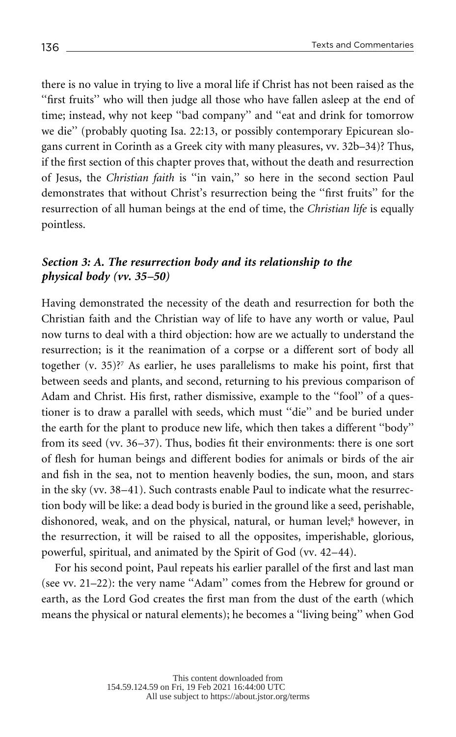there is no value in trying to live a moral life if Christ has not been raised as the "first fruits" who will then judge all those who have fallen asleep at the end of time; instead, why not keep ''bad company'' and ''eat and drink for tomorrow we die'' (probably quoting Isa. 22:13, or possibly contemporary Epicurean slogans current in Corinth as a Greek city with many pleasures, vv. 32b–34)? Thus, if the first section of this chapter proves that, without the death and resurrection of Jesus, the *Christian faith* is ''in vain,'' so here in the second section Paul demonstrates that without Christ's resurrection being the ''first fruits'' for the resurrection of all human beings at the end of time, the *Christian life* is equally pointless.

# *Section 3: A. The resurrection body and its relationship to the physical body (vv. 35–50)*

Having demonstrated the necessity of the death and resurrection for both the Christian faith and the Christian way of life to have any worth or value, Paul now turns to deal with a third objection: how are we actually to understand the resurrection; is it the reanimation of a corpse or a different sort of body all together  $(v, 35)$ ? As earlier, he uses parallelisms to make his point, first that between seeds and plants, and second, returning to his previous comparison of Adam and Christ. His first, rather dismissive, example to the ''fool'' of a questioner is to draw a parallel with seeds, which must ''die'' and be buried under the earth for the plant to produce new life, which then takes a different ''body'' from its seed (vv. 36–37). Thus, bodies fit their environments: there is one sort of flesh for human beings and different bodies for animals or birds of the air and fish in the sea, not to mention heavenly bodies, the sun, moon, and stars in the sky (vv. 38–41). Such contrasts enable Paul to indicate what the resurrection body will be like: a dead body is buried in the ground like a seed, perishable, dishonored, weak, and on the physical, natural, or human level;<sup>8</sup> however, in the resurrection, it will be raised to all the opposites, imperishable, glorious, powerful, spiritual, and animated by the Spirit of God (vv. 42–44).

For his second point, Paul repeats his earlier parallel of the first and last man (see vv. 21–22): the very name ''Adam'' comes from the Hebrew for ground or earth, as the Lord God creates the first man from the dust of the earth (which means the physical or natural elements); he becomes a ''living being'' when God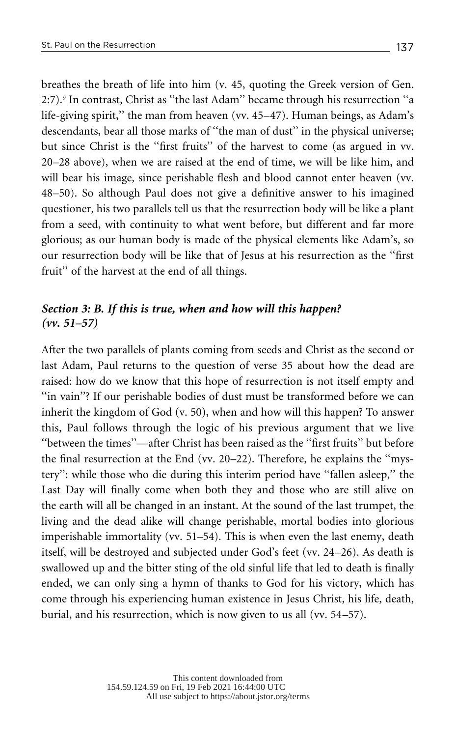breathes the breath of life into him (v. 45, quoting the Greek version of Gen. 2:7).[9](#page-13-0) In contrast, Christ as ''the last Adam'' became through his resurrection ''a life-giving spirit," the man from heaven (vv. 45-47). Human beings, as Adam's descendants, bear all those marks of ''the man of dust'' in the physical universe; but since Christ is the ''first fruits'' of the harvest to come (as argued in vv. 20–28 above), when we are raised at the end of time, we will be like him, and will bear his image, since perishable flesh and blood cannot enter heaven (vv. 48–50). So although Paul does not give a definitive answer to his imagined questioner, his two parallels tell us that the resurrection body will be like a plant from a seed, with continuity to what went before, but different and far more glorious; as our human body is made of the physical elements like Adam's, so our resurrection body will be like that of Jesus at his resurrection as the ''first fruit'' of the harvest at the end of all things.

# *Section 3: B. If this is true, when and how will this happen? (vv. 51–57)*

After the two parallels of plants coming from seeds and Christ as the second or last Adam, Paul returns to the question of verse 35 about how the dead are raised: how do we know that this hope of resurrection is not itself empty and "in vain"? If our perishable bodies of dust must be transformed before we can inherit the kingdom of God (v. 50), when and how will this happen? To answer this, Paul follows through the logic of his previous argument that we live ''between the times''—after Christ has been raised as the ''first fruits'' but before the final resurrection at the End (vv.  $20-22$ ). Therefore, he explains the "mystery'': while those who die during this interim period have ''fallen asleep,'' the Last Day will finally come when both they and those who are still alive on the earth will all be changed in an instant. At the sound of the last trumpet, the living and the dead alike will change perishable, mortal bodies into glorious imperishable immortality (vv. 51–54). This is when even the last enemy, death itself, will be destroyed and subjected under God's feet (vv. 24–26). As death is swallowed up and the bitter sting of the old sinful life that led to death is finally ended, we can only sing a hymn of thanks to God for his victory, which has come through his experiencing human existence in Jesus Christ, his life, death, burial, and his resurrection, which is now given to us all (vv. 54–57).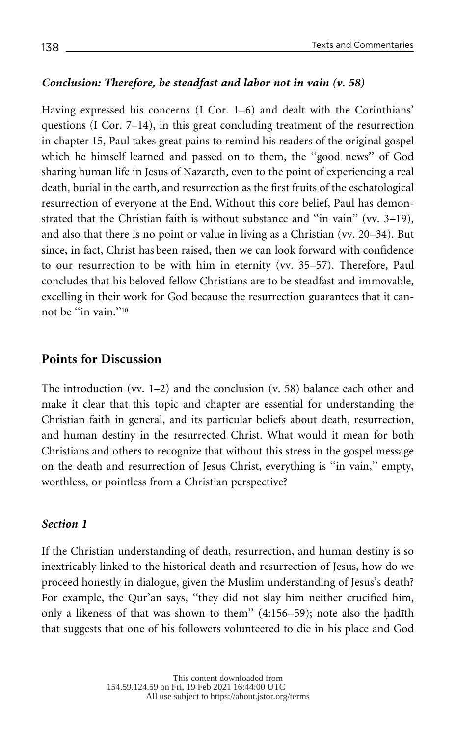### *Conclusion: Therefore, be steadfast and labor not in vain (v. 58)*

Having expressed his concerns (I Cor. 1–6) and dealt with the Corinthians' questions (I Cor. 7–14), in this great concluding treatment of the resurrection in chapter 15, Paul takes great pains to remind his readers of the original gospel which he himself learned and passed on to them, the ''good news'' of God sharing human life in Jesus of Nazareth, even to the point of experiencing a real death, burial in the earth, and resurrection as the first fruits of the eschatological resurrection of everyone at the End. Without this core belief, Paul has demonstrated that the Christian faith is without substance and ''in vain'' (vv. 3–19), and also that there is no point or value in living as a Christian (vv. 20–34). But since, in fact, Christ has been raised, then we can look forward with confidence to our resurrection to be with him in eternity (vv. 35–57). Therefore, Paul concludes that his beloved fellow Christians are to be steadfast and immovable, excelling in their work for God because the resurrection guarantees that it cannot be "in vain."<sup>10</sup>

# **Points for Discussion**

The introduction (vv. 1–2) and the conclusion (v. 58) balance each other and make it clear that this topic and chapter are essential for understanding the Christian faith in general, and its particular beliefs about death, resurrection, and human destiny in the resurrected Christ. What would it mean for both Christians and others to recognize that without this stress in the gospel message on the death and resurrection of Jesus Christ, everything is ''in vain,'' empty, worthless, or pointless from a Christian perspective?

## *Section 1*

If the Christian understanding of death, resurrection, and human destiny is so inextricably linked to the historical death and resurrection of Jesus, how do we proceed honestly in dialogue, given the Muslim understanding of Jesus's death? For example, the Qur'ān says, "they did not slay him neither crucified him, only a likeness of that was shown to them"  $(4:156-59)$ ; note also the hadīth that suggests that one of his followers volunteered to die in his place and God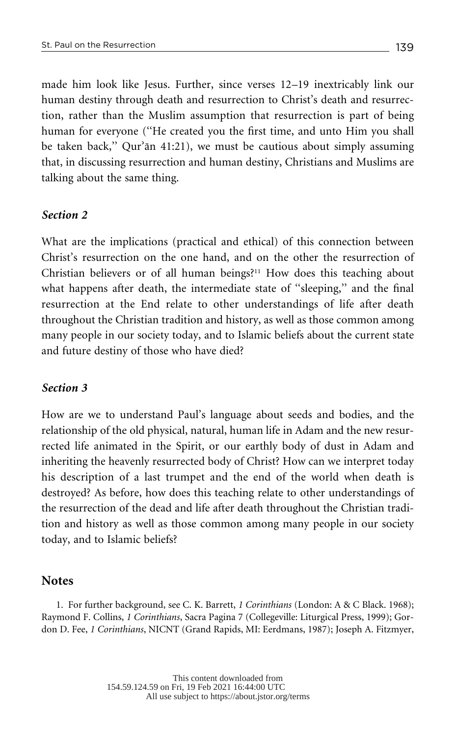<span id="page-11-0"></span>made him look like Jesus. Further, since verses 12–19 inextricably link our human destiny through death and resurrection to Christ's death and resurrection, rather than the Muslim assumption that resurrection is part of being human for everyone (''He created you the first time, and unto Him you shall be taken back,'' Qur'ān 41:21), we must be cautious about simply assuming that, in discussing resurrection and human destiny, Christians and Muslims are talking about the same thing.

## *Section 2*

What are the implications (practical and ethical) of this connection between Christ's resurrection on the one hand, and on the other the resurrection of Christian believers or of all human beings?<sup>[11](#page-13-0)</sup> How does this teaching about what happens after death, the intermediate state of "sleeping," and the final resurrection at the End relate to other understandings of life after death throughout the Christian tradition and history, as well as those common among many people in our society today, and to Islamic beliefs about the current state and future destiny of those who have died?

#### *Section 3*

How are we to understand Paul's language about seeds and bodies, and the relationship of the old physical, natural, human life in Adam and the new resurrected life animated in the Spirit, or our earthly body of dust in Adam and inheriting the heavenly resurrected body of Christ? How can we interpret today his description of a last trumpet and the end of the world when death is destroyed? As before, how does this teaching relate to other understandings of the resurrection of the dead and life after death throughout the Christian tradition and history as well as those common among many people in our society today, and to Islamic beliefs?

### **Notes**

1. For further background, see C. K. Barrett, *1 Corinthians* (London: A & C Black. 1968); Raymond F. Collins, *1 Corinthians*, Sacra Pagina 7 (Collegeville: Liturgical Press, 1999); Gordon D. Fee, *1 Corinthians*, NICNT (Grand Rapids, MI: Eerdmans, 1987); Joseph A. Fitzmyer,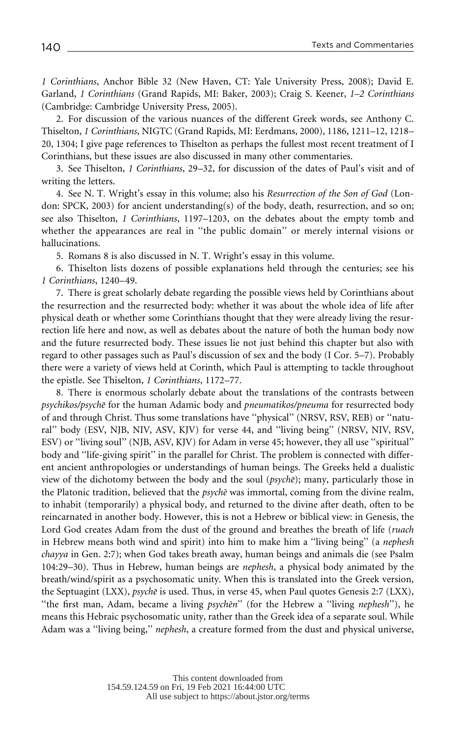<span id="page-12-0"></span>*1 Corinthians*, Anchor Bible 32 (New Haven, CT: Yale University Press, 2008); David E. Garland, *1 Corinthians* (Grand Rapids, MI: Baker, 2003); Craig S. Keener, *1–2 Corinthians* (Cambridge: Cambridge University Press, 2005).

2. For discussion of the various nuances of the different Greek words, see Anthony C. Thiselton, *1 Corinthians*, NIGTC (Grand Rapids, MI: Eerdmans, 2000), 1186, 1211–12, 1218– 20, 1304; I give page references to Thiselton as perhaps the fullest most recent treatment of I Corinthians, but these issues are also discussed in many other commentaries.

3. See Thiselton, *1 Corinthians*, 29–32, for discussion of the dates of Paul's visit and of writing the letters.

4. See N. T. Wright's essay in this volume; also his *Resurrection of the Son of God* (London: SPCK, 2003) for ancient understanding(s) of the body, death, resurrection, and so on; see also Thiselton, *1 Corinthians*, 1197–1203, on the debates about the empty tomb and whether the appearances are real in "the public domain" or merely internal visions or hallucinations.

5. Romans 8 is also discussed in N. T. Wright's essay in this volume.

6. Thiselton lists dozens of possible explanations held through the centuries; see his *1 Corinthians*, 1240–49.

7. There is great scholarly debate regarding the possible views held by Corinthians about the resurrection and the resurrected body: whether it was about the whole idea of life after physical death or whether some Corinthians thought that they were already living the resurrection life here and now, as well as debates about the nature of both the human body now and the future resurrected body. These issues lie not just behind this chapter but also with regard to other passages such as Paul's discussion of sex and the body (I Cor. 5–7). Probably there were a variety of views held at Corinth, which Paul is attempting to tackle throughout the epistle. See Thiselton, *1 Corinthians*, 1172–77.

8. There is enormous scholarly debate about the translations of the contrasts between *psychikos/psyche¯* for the human Adamic body and *pneumatikos/pneuma* for resurrected body of and through Christ. Thus some translations have ''physical'' (NRSV, RSV, REB) or ''natural'' body (ESV, NJB, NIV, ASV, KJV) for verse 44, and ''living being'' (NRSV, NIV, RSV, ESV) or ''living soul'' (NJB, ASV, KJV) for Adam in verse 45; however, they all use ''spiritual'' body and ''life-giving spirit'' in the parallel for Christ. The problem is connected with different ancient anthropologies or understandings of human beings. The Greeks held a dualistic view of the dichotomy between the body and the soul (*psyche*); many, particularly those in the Platonic tradition, believed that the *psyche* was immortal, coming from the divine realm, to inhabit (temporarily) a physical body, and returned to the divine after death, often to be reincarnated in another body. However, this is not a Hebrew or biblical view: in Genesis, the Lord God creates Adam from the dust of the ground and breathes the breath of life (*ruach* in Hebrew means both wind and spirit) into him to make him a ''living being'' (a *nephesh chayya* in Gen. 2:7); when God takes breath away, human beings and animals die (see Psalm 104:29–30). Thus in Hebrew, human beings are *nephesh*, a physical body animated by the breath/wind/spirit as a psychosomatic unity. When this is translated into the Greek version, the Septuagint (LXX), *psyche* is used. Thus, in verse 45, when Paul quotes Genesis 2:7 (LXX), "the first man, Adam, became a living *psychen*" (for the Hebrew a "living *nephesh*"), he means this Hebraic psychosomatic unity, rather than the Greek idea of a separate soul. While Adam was a ''living being,'' *nephesh*, a creature formed from the dust and physical universe,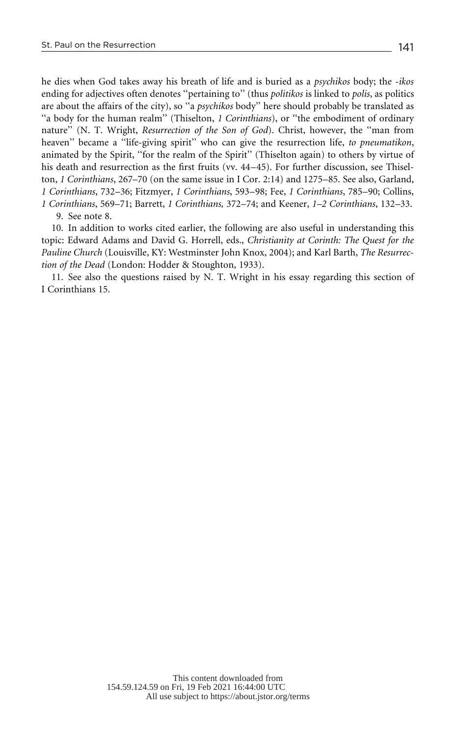<span id="page-13-0"></span>he dies when God takes away his breath of life and is buried as a *psychikos* body; the *-ikos* ending for adjectives often denotes ''pertaining to'' (thus *politikos* is linked to *polis*, as politics are about the affairs of the city), so ''a *psychikos* body'' here should probably be translated as ''a body for the human realm'' (Thiselton, *1 Corinthians*), or ''the embodiment of ordinary nature'' (N. T. Wright, *Resurrection of the Son of God*). Christ, however, the ''man from heaven'' became a ''life-giving spirit'' who can give the resurrection life, *to pneumatikon*, animated by the Spirit, ''for the realm of the Spirit'' (Thiselton again) to others by virtue of his death and resurrection as the first fruits (vv. 44–45). For further discussion, see Thiselton, *1 Corinthians*, 267–70 (on the same issue in I Cor. 2:14) and 1275–85. See also, Garland, *1 Corinthians*, 732–36; Fitzmyer, *1 Corinthians*, 593–98; Fee, *1 Corinthians*, 785–90; Collins, *1 Corinthians*, 569–71; Barrett, *1 Corinthians,* 372–74; and Keener, *1–2 Corinthians*, 132–33.

9. See note 8.

10. In addition to works cited earlier, the following are also useful in understanding this topic: Edward Adams and David G. Horrell, eds., *Christianity at Corinth: The Quest for the Pauline Church* (Louisville, KY: Westminster John Knox, 2004); and Karl Barth, *The Resurrection of the Dead* (London: Hodder & Stoughton, 1933).

11. See also the questions raised by N. T. Wright in his essay regarding this section of I Corinthians 15.